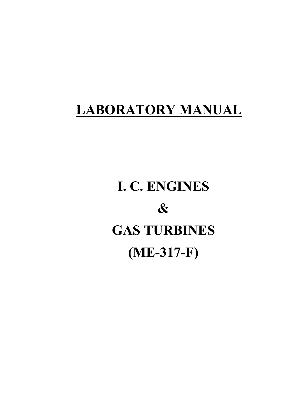## **LABORATORY MANUAL**

# **I. C. ENGINES & GAS TURBINES (ME-317-F)**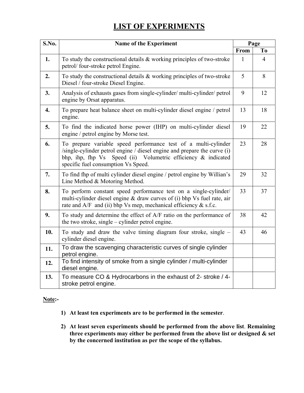## **LIST OF EXPERIMENTS**

| S.No.            | <b>Name of the Experiment</b>                                                                                                                                                                                                                         |      | Page           |
|------------------|-------------------------------------------------------------------------------------------------------------------------------------------------------------------------------------------------------------------------------------------------------|------|----------------|
|                  |                                                                                                                                                                                                                                                       | From | To             |
| 1.               | To study the constructional details $\&$ working principles of two-stroke<br>petrol/four-stroke petrol Engine.                                                                                                                                        | 1    | $\overline{4}$ |
| 2.               | To study the constructional details $&$ working principles of two-stroke<br>Diesel / four-stroke Diesel Engine.                                                                                                                                       | 5    | 8              |
| 3.               | Analysis of exhausts gases from single-cylinder/ multi-cylinder/ petrol<br>engine by Orsat apparatus.                                                                                                                                                 | 9    | 12             |
| $\overline{4}$ . | To prepare heat balance sheet on multi-cylinder diesel engine / petrol<br>engine.                                                                                                                                                                     | 13   | 18             |
| 5.               | To find the indicated horse power (IHP) on multi-cylinder diesel<br>engine / petrol engine by Morse test.                                                                                                                                             | 19   | 22             |
| 6.               | To prepare variable speed performance test of a multi-cylinder<br>/single-cylinder petrol engine / diesel engine and prepare the curve (i)<br>Speed (ii) Volumetric efficiency & indicated<br>bhp, ihp, fhp Vs<br>specific fuel consumption Vs Speed. | 23   | 28             |
| 7.               | To find fhp of multi cylinder diesel engine / petrol engine by Willian's<br>Line Method & Motoring Method.                                                                                                                                            | 29   | 32             |
| 8.               | To perform constant speed performance test on a single-cylinder/<br>multi-cylinder diesel engine & draw curves of (i) bhp Vs fuel rate, air<br>rate and $A/F$ and (ii) bhp Vs mep, mechanical efficiency $&$ s.f.c.                                   | 33   | 37             |
| 9.               | To study and determine the effect of A/F ratio on the performance of<br>the two stroke, single $-$ cylinder petrol engine.                                                                                                                            | 38   | 42             |
| 10.              | To study and draw the valve timing diagram four stroke, single –<br>cylinder diesel engine.                                                                                                                                                           | 43   | 46             |
| 11.              | To draw the scavenging characteristic curves of single cylinder<br>petrol engine.                                                                                                                                                                     |      |                |
| 12.              | To find intensity of smoke from a single cylinder / multi-cylinder<br>diesel engine.                                                                                                                                                                  |      |                |
| 13.              | To measure CO & Hydrocarbons in the exhaust of 2- stroke / 4-<br>stroke petrol engine.                                                                                                                                                                |      |                |

#### **Note:-**

- **1) At least ten experiments are to be performed in the semester**.
- **2) At least seven experiments should be performed from the above list**. **Remaining three experiments may either be performed from the above list or designed & set by the concerned institution as per the scope of the syllabus.**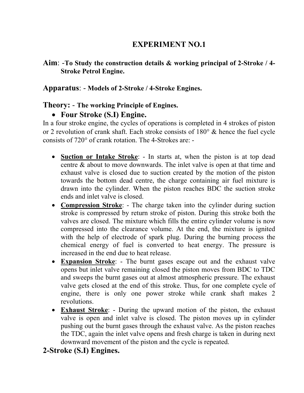### **Aim**: -**To Study the construction details & working principal of 2-Stroke / 4- Stroke Petrol Engine.**

### **Apparatus**: - **Models of 2-Stroke / 4-Stroke Engines.**

#### **Theory:** - **The working Principle of Engines.**

## • **Four Stroke (S.I) Engine.**

In a four stroke engine, the cycles of operations is completed in 4 strokes of piston or 2 revolution of crank shaft. Each stroke consists of 180° & hence the fuel cycle consists of 720° of crank rotation. The 4-Strokes are: -

- **Suction or Intake Stroke**: In starts at, when the piston is at top dead centre & about to move downwards. The inlet valve is open at that time and exhaust valve is closed due to suction created by the motion of the piston towards the bottom dead centre, the charge containing air fuel mixture is drawn into the cylinder. When the piston reaches BDC the suction stroke ends and inlet valve is closed.
- **Compression Stroke**: The charge taken into the cylinder during suction stroke is compressed by return stroke of piston. During this stroke both the valves are closed. The mixture which fills the entire cylinder volume is now compressed into the clearance volume. At the end, the mixture is ignited with the help of electrode of spark plug. During the burning process the chemical energy of fuel is converted to heat energy. The pressure is increased in the end due to heat release.
- **Expansion Stroke**: The burnt gases escape out and the exhaust valve opens but inlet valve remaining closed the piston moves from BDC to TDC and sweeps the burnt gases out at almost atmospheric pressure. The exhaust valve gets closed at the end of this stroke. Thus, for one complete cycle of engine, there is only one power stroke while crank shaft makes 2 revolutions.
- **Exhaust Stroke**: During the upward motion of the piston, the exhaust valve is open and inlet valve is closed. The piston moves up in cylinder pushing out the burnt gases through the exhaust valve. As the piston reaches the TDC, again the inlet valve opens and fresh charge is taken in during next downward movement of the piston and the cycle is repeated.

## **2-Stroke (S.I) Engines.**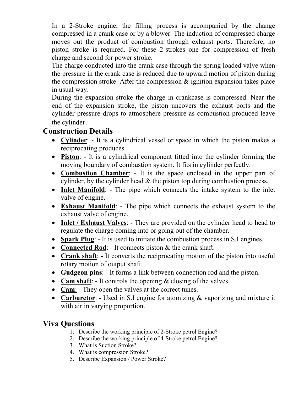In a 2-Stroke engine, the filling process is accompanied by the change compressed in a crank case or by a blower. The induction of compressed charge moves out the product of combustion through exhaust ports. Therefore, no piston stroke is required. For these 2-strokes one for compression of fresh charge and second for power stroke.

 The charge conducted into the crank case through the spring loaded valve when the pressure in the crank case is reduced due to upward motion of piston during the compression stroke. After the compression  $\&$  ignition expansion takes place in usual way.

During the expansion stroke the charge in crankcase is compressed. Near the end of the expansion stroke, the piston uncovers the exhaust ports and the cylinder pressure drops to atmosphere pressure as combustion produced leave the cylinder.

## **Construction Details**

- **Cylinder**: It is a cylindrical vessel or space in which the piston makes a reciprocating produces.
- **Piston**: It is a cylindrical component fitted into the cylinder forming the moving boundary of combustion system. It fits in cylinder perfectly.
- **Combustion Chamber**: It is the space enclosed in the upper part of cylinder, by the cylinder head & the piston top during combustion process.
- **Inlet Manifold**: The pipe which connects the intake system to the inlet valve of engine.
- **Exhaust Manifold**: The pipe which connects the exhaust system to the exhaust valve of engine.
- **Inlet / Exhaust Valves**: They are provided on the cylinder head to head to regulate the charge coming into or going out of the chamber.
- **Spark Plug**: It is used to initiate the combustion process in S.I engines.
- **Connected Rod**: It connects piston & the crank shaft.
- **Crank shaft**: It converts the reciprocating motion of the piston into useful rotary motion of output shaft.
- **Gudgeon pins**: It forms a link between connection rod and the piston.
- **Cam shaft**: It controls the opening & closing of the valves.
- **Cam**: They open the valves at the correct tunes.
- **Carburetor**: Used in S.I engine for atomizing & vaporizing and mixture it with air in varying proportion.

- 1. Describe the working principle of 2-Stroke petrol Engine?
- 2. Describe the working principle of 4-Stroke petrol Engine?
- 3. What is Suction Stroke?
- 4. What is compression Stroke?
- 5. Describe Expansion / Power Stroke?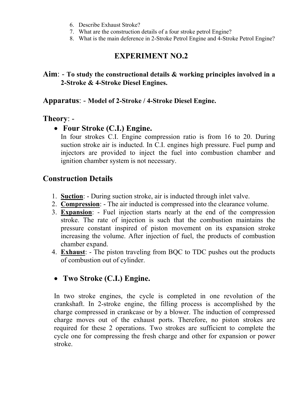- 6. Describe Exhaust Stroke?
- 7. What are the construction details of a four stroke petrol Engine?
- 8. What is the main deference in 2-Stroke Petrol Engine and 4-Stroke Petrol Engine?

#### **Aim**: - **To study the constructional details & working principles involved in a 2-Stroke & 4-Stroke Diesel Engines.**

#### **Apparatus**: - **Model of 2-Stroke / 4-Stroke Diesel Engine.**

#### **Theory**: -

## • **Four Stroke (C.I.) Engine.**

In four strokes C.I. Engine compression ratio is from 16 to 20. During suction stroke air is inducted. In C.I. engines high pressure. Fuel pump and injectors are provided to inject the fuel into combustion chamber and ignition chamber system is not necessary.

## **Construction Details**

- 1. **Suction**: During suction stroke, air is inducted through inlet valve.
- 2. **Compression**: The air inducted is compressed into the clearance volume.
- 3. **Expansion**: Fuel injection starts nearly at the end of the compression stroke. The rate of injection is such that the combustion maintains the pressure constant inspired of piston movement on its expansion stroke increasing the volume. After injection of fuel, the products of combustion chamber expand.
- 4. **Exhaust**: The piston traveling from BQC to TDC pushes out the products of combustion out of cylinder.

## • **Two Stroke (C.I.) Engine.**

In two stroke engines, the cycle is completed in one revolution of the crankshaft. In 2-stroke engine, the filling process is accomplished by the charge compressed in crankcase or by a blower. The induction of compressed charge moves out of the exhaust ports. Therefore, no piston strokes are required for these 2 operations. Two strokes are sufficient to complete the cycle one for compressing the fresh charge and other for expansion or power stroke.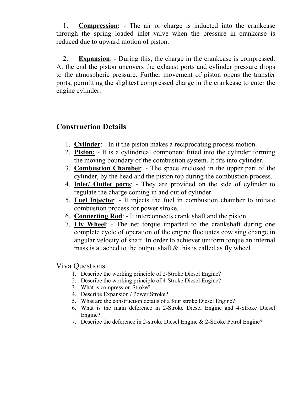1. **Compression:** - The air or charge is inducted into the crankcase through the spring loaded inlet valve when the pressure in crankcase is reduced due to upward motion of piston.

2. **Expansion**: - During this, the charge in the crankcase is compressed. At the end the piston uncovers the exhaust ports and cylinder pressure drops to the atmospheric pressure. Further movement of piston opens the transfer ports, permitting the slightest compressed charge in the crankcase to enter the engine cylinder.

## **Construction Details**

- 1. **Cylinder**: In it the piston makes a reciprocating process motion.
- 2. **Piston:** It is a cylindrical component fitted into the cylinder forming the moving boundary of the combustion system. It fits into cylinder.
- 3. **Combustion Chamber**: The space enclosed in the upper part of the cylinder, by the head and the piston top during the combustion process.
- 4. **Inlet/ Outlet ports**: They are provided on the side of cylinder to regulate the charge coming in and out of cylinder.
- 5. **Fuel Injector**: It injects the fuel in combustion chamber to initiate combustion process for power stroke.
- 6. **Connecting Rod**: It interconnects crank shaft and the piston.
- 7. **Fly Wheel**: The net torque imparted to the crankshaft during one complete cycle of operation of the engine fluctuates cow sing change in angular velocity of shaft. In order to achiever uniform torque an internal mass is attached to the output shaft  $\&$  this is called as fly wheel.

- 1. Describe the working principle of 2-Stroke Diesel Engine?
- 2. Describe the working principle of 4-Stroke Diesel Engine?
- 3. What is compression Stroke?
- 4. Describe Expansion / Power Stroke?
- 5. What are the construction details of a four stroke Diesel Engine?
- 6. What is the main deference in 2-Stroke Diesel Engine and 4-Stroke Diesel Engine?
- 7. Describe the deference in 2-stroke Diesel Engine & 2-Stroke Petrol Engine?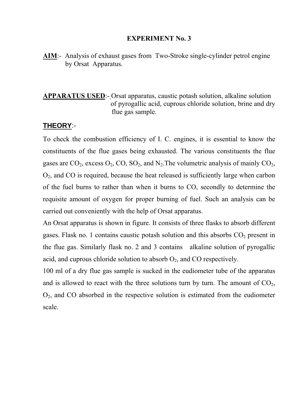**AIM**:- Analysis of exhaust gases from Two-Stroke single-cylinder petrol engine by Orsat Apparatus.

#### **APPARATUS USED**:- Orsat apparatus, caustic potash solution, alkaline solution of pyrogallic acid, cuprous chloride solution, brine and dry flue gas sample.

#### **THEORY**:-

To check the combustion efficiency of I. C. engines, it is essential to know the constituents of the flue gases being exhausted. The various constituents the flue gases are  $CO_2$ , excess  $O_2$ ,  $CO$ ,  $SO_2$ , and  $N_2$ . The volumetric analysis of mainly  $CO_2$ ,  $O<sub>2</sub>$ , and CO is required, because the heat released is sufficiently large when carbon of the fuel burns to rather than when it burns to CO, secondly to determine the requisite amount of oxygen for proper burning of fuel. Such an analysis can be carried out conveniently with the help of Orsat apparatus.

An Orsat apparatus is shown in figure. It consists of three flasks to absorb different gases. Flask no. 1 contains caustic potash solution and this absorbs  $CO<sub>2</sub>$  present in the flue gas. Similarly flask no. 2 and 3 contains alkaline solution of pyrogallic acid, and cuprous chloride solution to absorb  $O_2$ , and CO respectively.

100 ml of a dry flue gas sample is sucked in the eudiometer tube of the apparatus and is allowed to react with the three solutions turn by turn. The amount of  $CO<sub>2</sub>$ ,  $O<sub>2</sub>$ , and CO absorbed in the respective solution is estimated from the eudiometer scale.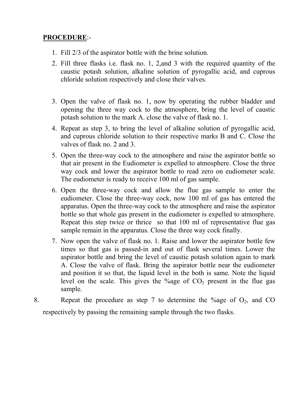#### **PROCEDURE**:-

- 1. Fill 2/3 of the aspirator bottle with the brine solution.
- 2. Fill three flasks i.e. flask no. 1, 2,and 3 with the required quantity of the caustic potash solution, alkaline solution of pyrogallic acid, and cuprous chloride solution respectively and close their valves.
- 3. Open the valve of flask no. 1, now by operating the rubber bladder and opening the three way cock to the atmosphere, bring the level of caustic potash solution to the mark A. close the valve of flask no. 1.
- 4. Repeat as step 3, to bring the level of alkaline solution of pyrogallic acid, and cuprous chloride solution to their respective marks B and C. Close the valves of flask no. 2 and 3.
- 5. Open the three-way cock to the atmosphere and raise the aspirator bottle so that air present in the Eudiometer is expelled to atmosphere. Close the three way cock and lower the aspirator bottle to read zero on eudiometer scale. The eudiometer is ready to receive 100 ml of gas sample.
- 6. Open the three-way cock and allow the flue gas sample to enter the eudiometer. Close the three-way cock, now 100 ml of gas has entered the apparatus. Open the three-way cock to the atmosphere and raise the aspirator bottle so that whole gas present in the eudiometer is expelled to atmosphere. Repeat this step twice or thrice so that 100 ml of representative flue gas sample remain in the apparatus. Close the three way cock finally.
- 7. Now open the valve of flask no. 1. Raise and lower the aspirator bottle few times so that gas is passed-in and out of flask several times. Lower the aspirator bottle and bring the level of caustic potash solution again to mark A. Close the valve of flask. Bring the aspirator bottle near the eudiometer and position it so that, the liquid level in the both is same. Note the liquid level on the scale. This gives the %age of  $CO<sub>2</sub>$  present in the flue gas sample.
- 8. Repeat the procedure as step 7 to determine the %age of  $O_2$ , and CO respectively by passing the remaining sample through the two flasks.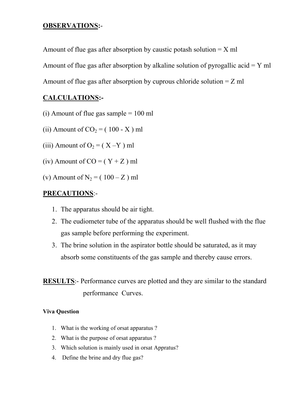#### **OBSERVATIONS:**-

Amount of flue gas after absorption by caustic potash solution  $= X$  ml

Amount of flue gas after absorption by alkaline solution of pyrogallic acid  $=$  Y ml

Amount of flue gas after absorption by cuprous chloride solution  $= Z$  ml

#### **CALCULATIONS:-**

- (i) Amount of flue gas sample  $= 100$  ml
- (ii) Amount of  $CO<sub>2</sub> = (100 X)$  ml
- (iii) Amount of  $O_2 = (X Y)$  ml
- (iv) Amount of  $CO = (Y + Z)$  ml
- (v) Amount of  $N_2 = (100 Z)$  ml

#### **PRECAUTIONS**:-

- 1. The apparatus should be air tight.
- 2. The eudiometer tube of the apparatus should be well flushed with the flue gas sample before performing the experiment.
- 3. The brine solution in the aspirator bottle should be saturated, as it may absorb some constituents of the gas sample and thereby cause errors.

**RESULTS**:- Performance curves are plotted and they are similar to the standard performance Curves.

- 1. What is the working of orsat apparatus ?
- 2. What is the purpose of orsat apparatus ?
- 3. Which solution is mainly used in orsat Appratus?
- 4. Define the brine and dry flue gas?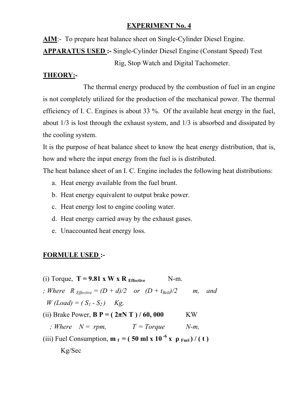**AIM**:- To prepare heat balance sheet on Single-Cylinder Diesel Engine.

**APPARATUS USED :-** Single-Cylinder Diesel Engine (Constant Speed) Test

Rig, Stop Watch and Digital Tachometer.

#### **THEORY:-**

 The thermal energy produced by the combustion of fuel in an engine is not completely utilized for the production of the mechanical power. The thermal efficiency of I. C. Engines is about 33 %. Of the available heat energy in the fuel, about 1/3 is lost through the exhaust system, and 1/3 is absorbed and dissipated by the cooling system.

It is the purpose of heat balance sheet to know the heat energy distribution, that is, how and where the input energy from the fuel is is distributed.

The heat balance sheet of an I. C. Engine includes the following heat distributions:

- a. Heat energy available from the fuel brunt.
- b. Heat energy equivalent to output brake power.
- c. Heat energy lost to engine cooling water.
- d. Heat energy carried away by the exhaust gases.
- e. Unaccounted heat energy loss.

## **FORMULE USED :-**

- (i) Torque,  $T = 9.81 \times W \times R$  Effective N-m.
- *; Where*  $R_{\text{Effective}} = (D + d)/2$  or  $(D + t_{\text{Belt}})/2$  m, and *W* (*Load*) =  $(S_1 - S_2)$  *Kg*,
- (ii) Brake Power,  $B P = (2\pi N T) / 60,000$  KW
	- *; Where*  $N = rpm$ ,  $T = Torque$   $N-m$ ,

(iii) Fuel Consumption,  $\mathbf{m}_f = (50 \text{ ml x } 10^{-6} \text{ x } \rho_{\text{Full}}) / (t)$ 

Kg/Sec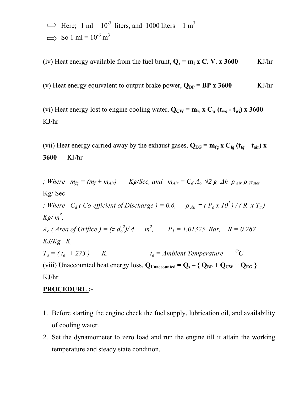$\implies$  Here; 1 ml = 10<sup>-3</sup> liters, and 1000 liters = 1 m<sup>3</sup>  $\implies$  So 1 ml = 10<sup>-6</sup> m<sup>3</sup>

(iv) Heat energy available from the fuel brunt,  $Q_s = m_f x C$ . V. x 3600 KJ/hr

(v) Heat energy equivalent to output brake power,  $Q_{BP} = BP \times 3600$  KJ/hr

(vi) Heat energy lost to engine cooling water,  $Q_{CW} = m_w x C_w (t_{wo} - t_{wi}) x 3600$ KJ/hr

(vii) Heat energy carried away by the exhaust gases,  $Q_{EG} = m_{fg} x C_{fg} (t_{fg} - t_{air}) x$ **3600** KJ/hr

*; Where*  $m_{fg} = (m_f + m_{Air})$  *Kg/Sec, and*  $m_{Air} = C_d A_o$  ⁄⁄<sup>2</sup> *g Δh*  $\rho_{Air}$   $\rho$  *Water* Kg/ Sec *; Where*  $C_d$  ( Co-efficient of Discharge ) = 0.6,  $\rho_{Air} = (P_a x 10^2) / (R x T_a)$ *Kg/ m3 , A<sub>o</sub>* (*Area of Orifice ) =*  $(\pi d_o^2)/4$  $m^2$ *,*  $P_1 = 1.01325$  *Bar,*  $R = 0.287$ *KJ/Kg . K,*   $T_a = (t_a + 273)$  K,  $t_a =$ Ambient Temperature <sup>O</sup>C (viii) Unaccounted heat energy loss,  $Q_{\text{Unaccounted}} = Q_s - \{ Q_{\text{BP}} + Q_{\text{CW}} + Q_{\text{EG}} \}$ KJ/hr

#### **PROCEDURE :-**

- 1. Before starting the engine check the fuel supply, lubrication oil, and availability of cooling water.
- 2. Set the dynamometer to zero load and run the engine till it attain the working temperature and steady state condition.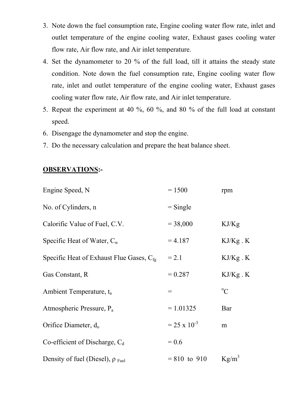- 3. Note down the fuel consumption rate, Engine cooling water flow rate, inlet and outlet temperature of the engine cooling water, Exhaust gases cooling water flow rate, Air flow rate, and Air inlet temperature.
- 4. Set the dynamometer to 20 % of the full load, till it attains the steady state condition. Note down the fuel consumption rate, Engine cooling water flow rate, inlet and outlet temperature of the engine cooling water, Exhaust gases cooling water flow rate, Air flow rate, and Air inlet temperature.
- 5. Repeat the experiment at 40 %, 60 %, and 80 % of the full load at constant speed.
- 6. Disengage the dynamometer and stop the engine.
- 7. Do the necessary calculation and prepare the heat balance sheet.

#### **OBSERVATIONS:-**

| Engine Speed, N                               | $= 1500$              | rpm           |
|-----------------------------------------------|-----------------------|---------------|
| No. of Cylinders, n                           | $=$ Single            |               |
| Calorific Value of Fuel, C.V.                 | $= 38,000$            | KJ/Kg         |
| Specific Heat of Water, $C_w$                 | $= 4.187$             | $KJ/Kg$ . $K$ |
| Specific Heat of Exhaust Flue Gases, $C_{fe}$ | $= 2.1$               | $KJ/Kg$ . $K$ |
| Gas Constant, R                               | $= 0.287$             | $KJ/Kg$ . $K$ |
| Ambient Temperature, t <sub>a</sub>           | $=$                   | $\rm ^{o}C$   |
| Atmospheric Pressure, $P_a$                   | $= 1.01325$           | Bar           |
| Orifice Diameter, $d_0$                       | $= 25 \times 10^{-3}$ | m             |
| Co-efficient of Discharge, $C_d$              | $= 0.6$               |               |
| Density of fuel (Diesel), $\rho_{\text{Fe}}$  | $= 810$ to 910        | $Kg/m^3$      |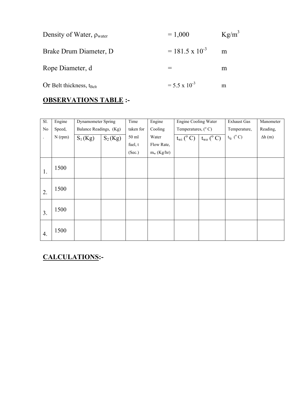| Density of Water, $\rho_{\text{water}}$ | $= 1,000$                | $Kg/m^3$ |
|-----------------------------------------|--------------------------|----------|
| Brake Drum Diameter, D.                 | $= 181.5 \times 10^{-3}$ | m        |
| Rope Diameter, d                        |                          | m        |
| Or Belt thickness, $t_{\text{Belt}}$    | $= 5.5 \times 10^{-3}$   | m        |

## **OBSERVATIONS TABLE :-**

| $\overline{SI}$ .    | Engine    |                        | <b>Dynamometer Spring</b> |           | Engine        | <b>Engine Cooling Water</b> |                          | <b>Exhaust Gas</b>                 | Manometer     |
|----------------------|-----------|------------------------|---------------------------|-----------|---------------|-----------------------------|--------------------------|------------------------------------|---------------|
| No                   | Speed,    | Balance Readings, (Kg) |                           | taken for | Cooling       | Temperatures, $(^{\circ}C)$ |                          | Temperature,                       | Reading,      |
| $\ddot{\phantom{a}}$ | $N$ (rpm) | $S_1(Kg)$              | $S_2(Kg)$                 | 50 ml     | Water         | $t_{wi}$ ( $^{\circ}$ C)    | $t_{wo}$ ( $^{\circ}$ C) | $\mathfrak{t}_{\mathrm{fg}}$ (° C) | $\Delta h(m)$ |
|                      |           |                        |                           | fuel, t   | Flow Rate,    |                             |                          |                                    |               |
|                      |           |                        |                           | (Sec.)    | $m_w$ (Kg/hr) |                             |                          |                                    |               |
|                      | 1500      |                        |                           |           |               |                             |                          |                                    |               |
| 1.                   |           |                        |                           |           |               |                             |                          |                                    |               |
| 2.                   | 1500      |                        |                           |           |               |                             |                          |                                    |               |
| 3.                   | 1500      |                        |                           |           |               |                             |                          |                                    |               |
| 4.                   | 1500      |                        |                           |           |               |                             |                          |                                    |               |

## **CALCULATIONS:-**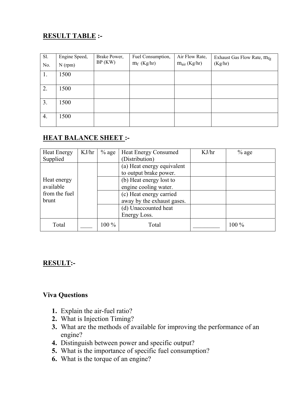## **RESULT TABLE :-**

| Sl. | Engine Speed, | Brake Power, | Fuel Consumption, | Air Flow Rate,    | Exhaust Gas Flow Rate, $m_{fg}$ |
|-----|---------------|--------------|-------------------|-------------------|---------------------------------|
| No. | $N$ (rpm)     | BP(KW)       | $m_f$ (Kg/hr)     | $m_{air}$ (Kg/hr) | (Kg/hr)                         |
| 1.  | 1500          |              |                   |                   |                                 |
| 2.  | 1500          |              |                   |                   |                                 |
|     |               |              |                   |                   |                                 |
| 3.  | 1500          |              |                   |                   |                                 |
| 4.  | 1500          |              |                   |                   |                                 |
|     |               |              |                   |                   |                                 |

#### **HEAT BALANCE SHEET :-**

| <b>Heat Energy</b><br>Supplied | KJ/hr | $%$ age | <b>Heat Energy Consumed</b><br>(Distribution)         | KJ/hr | $%$ age |
|--------------------------------|-------|---------|-------------------------------------------------------|-------|---------|
|                                |       |         | (a) Heat energy equivalent<br>to output brake power.  |       |         |
| Heat energy<br>available       |       |         | (b) Heat energy lost to<br>engine cooling water.      |       |         |
| from the fuel<br>brunt         |       |         | (c) Heat energy carried<br>away by the exhaust gases. |       |         |
|                                |       |         | (d) Unaccounted heat<br>Energy Loss.                  |       |         |
| Total                          |       | 100 %   | Total                                                 |       | 100 %   |

#### **RESULT:-**

- **1.** Explain the air-fuel ratio?
- **2.** What is Injection Timing?
- **3.** What are the methods of available for improving the performance of an engine?
- **4.** Distinguish between power and specific output?
- **5.** What is the importance of specific fuel consumption?
- **6.** What is the torque of an engine?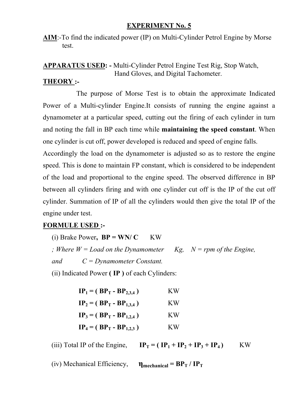**AIM**:-To find the indicated power (IP) on Multi-Cylinder Petrol Engine by Morse test.

#### **APPARATUS USED: -** Multi-Cylinder Petrol Engine Test Rig, Stop Watch, Hand Gloves, and Digital Tachometer.

#### **THEORY :-**

 The purpose of Morse Test is to obtain the approximate Indicated Power of a Multi-cylinder Engine.It consists of running the engine against a dynamometer at a particular speed, cutting out the firing of each cylinder in turn and noting the fall in BP each time while **maintaining the speed constant**. When one cylinder is cut off, power developed is reduced and speed of engine falls.

Accordingly the load on the dynamometer is adjusted so as to restore the engine speed. This is done to maintain FP constant, which is considered to be independent of the load and proportional to the engine speed. The observed difference in BP between all cylinders firing and with one cylinder cut off is the IP of the cut off cylinder. Summation of IP of all the cylinders would then give the total IP of the engine under test.

#### **FORMULE USED :-**

(i) Brake Power,  $BP = WN/C$  KW *; Where*  $W = Load$  *on the Dynamometer Kg, N = rpm of the Engine, and C = Dynamometer Constant.* 

(ii) Indicated Power **( IP )** of each Cylinders:

| $IP_1 = (BP_T - BP_{2,3,4})$ | K W |
|------------------------------|-----|
| $IP_2 = (BP_T - BP_{1,3,4})$ | K W |
| $IP_3 = (BP_T - BP_{1,2,4})$ | K W |
| $IP_4 = (BP_T - BP_{1,2,3})$ | K W |

(iii) Total IP of the Engine,  $IP_T = (IP_1 + IP_2 + IP_3 + IP_4)$  KW

(iv) Mechanical Efficiency,  $\mathbf{\eta}_{\text{mechanical}} = BP_T / IP_T$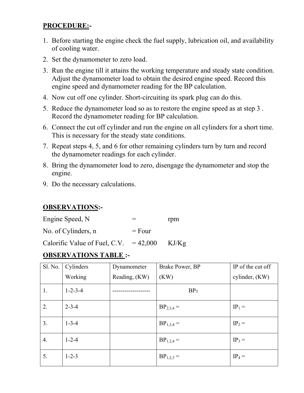## **PROCEDURE:-**

- 1. Before starting the engine check the fuel supply, lubrication oil, and availability of cooling water.
- 2. Set the dynamometer to zero load.
- 3. Run the engine till it attains the working temperature and steady state condition. Adjust the dynamometer load to obtain the desired engine speed. Record this engine speed and dynamometer reading for the BP calculation.
- 4. Now cut off one cylinder. Short-circuiting its spark plug can do this.
- 5. Reduce the dynamometer load so as to restore the engine speed as at step 3 . Record the dynamometer reading for BP calculation.
- 6. Connect the cut off cylinder and run the engine on all cylinders for a short time. This is necessary for the steady state conditions.
- 7. Repeat steps 4, 5, and 6 for other remaining cylinders turn by turn and record the dynamometer readings for each cylinder.
- 8. Bring the dynamometer load to zero, disengage the dynamometer and stop the engine.
- 9. Do the necessary calculations.

#### **OBSERVATIONS:-**

| Engine Speed, N     | ᆖ        | rpm |
|---------------------|----------|-----|
| No. of Cylinders, n | $=$ Four |     |

Calorific Value of Fuel, C.V.  $= 42,000$  KJ/Kg

#### **OBSERVATIONS TABLE :-**

| Sl. No. | Cylinders       | Dynamometer   | Brake Power, BP | IP of the cut off |
|---------|-----------------|---------------|-----------------|-------------------|
|         | Working         | Reading, (KW) | (KW)            | cylinder, (KW)    |
| 1.      | $1 - 2 - 3 - 4$ |               | $BP_T$          |                   |
| 2.      | $2 - 3 - 4$     |               | $BP_{2,3,4} =$  | $IP_1 =$          |
| 3.      | $1 - 3 - 4$     |               | $BP_{1,3,4} =$  | $IP_2 =$          |
| 4.      | $1 - 2 - 4$     |               | $BP_{1,2,4} =$  | $IP_3 =$          |
| 5.      | $1 - 2 - 3$     |               | $BP_{1,2,3} =$  | $IP_4 =$          |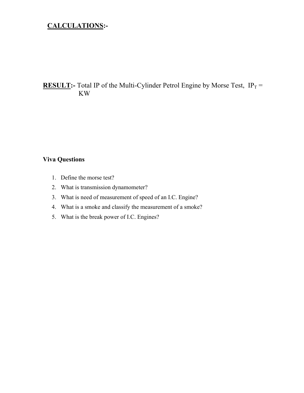#### **CALCULATIONS:-**

#### **RESULT:**- Total IP of the Multi-Cylinder Petrol Engine by Morse Test,  $IP_T =$ KW

- 1. Define the morse test?
- 2. What is transmission dynamometer?
- 3. What is need of measurement of speed of an I.C. Engine?
- 4. What is a smoke and classify the measurement of a smoke?
- 5. What is the break power of I.C. Engines?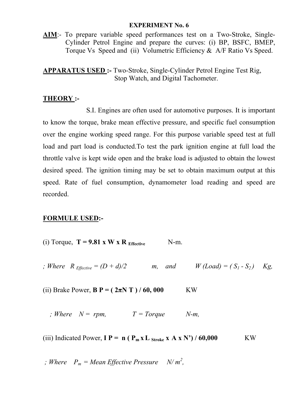**AIM**:- To prepare variable speed performances test on a Two-Stroke, Single-Cylinder Petrol Engine and prepare the curves: (i) BP, BSFC, BMEP, Torque Vs Speed and (ii) Volumetric Efficiency & A/F Ratio Vs Speed.

**APPARATUS USED :-** Two-Stroke, Single-Cylinder Petrol Engine Test Rig, Stop Watch, and Digital Tachometer.

#### **THEORY :-**

 S.I. Engines are often used for automotive purposes. It is important to know the torque, brake mean effective pressure, and specific fuel consumption over the engine working speed range. For this purpose variable speed test at full load and part load is conducted.To test the park ignition engine at full load the throttle valve is kept wide open and the brake load is adjusted to obtain the lowest desired speed. The ignition timing may be set to obtain maximum output at this speed. Rate of fuel consumption, dynamometer load reading and speed are recorded.

#### **FORMULE USED:-**

- (i) Torque,  $T = 9.81 \times W \times R$  Effective N-m.
- *; Where*  $R_{\text{Effective}} = (D + d)/2$  *m, and W (Load)* =  $(S_1 S_2)$  *Kg,*

(ii) Brake Power,  $B P = (2\pi N T) / 60,000$  KW

*; Where*  $N = rpm$ ,  $T = Torque$   $N-m$ ,

(iii) Indicated Power,  $I P = n (P_m x L_{\text{Stroke}} x A x N') / 60,000$  KW

$$
f; Where \quad P_m = Mean \, Effective \, Pressure \quad N/m^2,
$$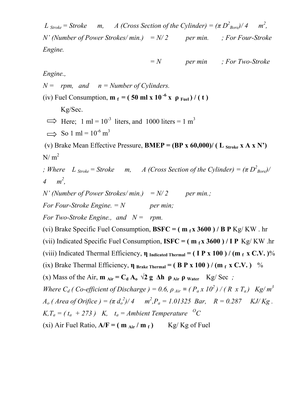*L*  $_{Stroke} = Stroke$  *m, A* (*Cross Section of the Cylinder*) =  $(\pi D_{Bore}^2)/4$  *m*<sup>2</sup>, *N'* (Number of Power Strokes/ min.) =  $N/2$  per min. ; For Four-Stroke *Engine.* 

$$
= N
$$
 *per min ; For Two-Stroke*

*Engine.,* 

 $N =$  *rpm, and n = Number of Cylinders.* 

(iv) Fuel Consumption,  $\mathbf{m}_f = (50 \text{ ml x } 10^{-6} \text{ x } \rho_{\text{Full}}) / (t)$ 

Kg/Sec.

 $\implies$  Here; 1 ml = 10<sup>-3</sup> liters, and 1000 liters = 1 m<sup>3</sup>

 $\implies$  So 1 ml = 10<sup>-6</sup> m<sup>3</sup>

(v) Brake Mean Effective Pressure, **BMEP** =  $(BP \times 60,000)$  (L stroke  $X A X N'$ )  $N/m<sup>2</sup>$ 

*; Where*  $L_{\text{Stroke}} = \text{Stroke}$  *m, A (Cross Section of the Cylinder)* =  $(\pi D_{\text{Bore}}^2)$ / 4  $m^2$ ,

*N'* (Number of Power Strokes/ min.) =  $N/2$  per min.;

*For Four-Stroke Engine.*  $=N$  *per min;* 

*For Two-Stroke Engine., and N = rpm.* 

(vi) Brake Specific Fuel Consumption,  $B S F C = (m_f x 3600) / B P Kg/KW$ . hr

(vii) Indicated Specific Fuel Consumption,  $\text{ISFC} = (\text{m } f \text{x } 3600) / \text{IP } \text{Kg/KW}$ .hr

(viii) Indicated Thermal Efficiency, **η Indicated Thermal = ( I P x 100 ) / (m f x C.V. )**%

(ix) Brake Thermal Efficiency,  $\eta_{Brake Thermal} = (B P x 100) / (m_f x C.V.)$  %

(x) Mass of the Air,  $\mathbf{m}_{\text{Air}} = \mathbf{C_d} \mathbf{A_o} \sqrt{2} \mathbf{g} \Delta \mathbf{h} \mathbf{\rho}_{\text{Air}} \mathbf{\rho}_{\text{water}}$  Kg/ Sec ;

*Where C<sub>d</sub>* (*Co-efficient of Discharge* ) = 0.6,  $\rho_{Air} = (P_a x 10^2) / (R x T_a)$  Kg/m<sup>3</sup>  $A_o$  (Area of Orifice ) =  $(\pi d_o^2)/4$   $m^2$ , $P_a = 1.01325$  Bar,  $R = 0.287$  KJ/Kg. *K, T<sub>a</sub>* = ( $t_a$  + 273) *K,*  $t_a$  = *Ambient Temperature* <sup>*O</sup>C*</sup> (xi) Air Fuel Ratio,  $A/F = (m_{Air}/m_f)$  Kg/ Kg of Fuel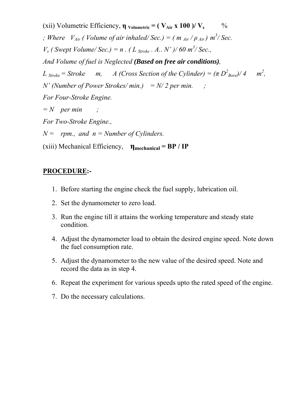(xii) Volumetric Efficiency,  $\eta$  volumetric = ( $V_{Air}$  x 100 )/ $V_s$  % *; Where*  $V_{Air}$  *( Volume of air inhaled/ Sec.) = (*  $m_{Air}$  */*  $\rho_{Air}$ *)*  $m^3$ */ Sec. V<sub>s</sub>* (*Swept Volume/ Sec.)* = *n* . (*L stroke . A.. N' )/ 60 m<sup>3</sup>/ Sec., And Volume of fuel is Neglected (Based on free air conditions),*   $L$   $_{Stroke}$  =  $Stroke$  m, A (Cross Section of the Cylinder) =  $(\pi D_{Bore}^2)/4$  m<sup>2</sup>  $m^2$ . *N'* (Number of Power Strokes/ min.) =  $N/2$  per min. ; *For Four-Stroke Engine.*   $=N$  *per min* ; *For Two-Stroke Engine., N = rpm., and n = Number of Cylinders.*  (xiii) Mechanical Efficiency, **ηmechanical = BP / IP**

#### **PROCEDURE:-**

- 1. Before starting the engine check the fuel supply, lubrication oil.
- 2. Set the dynamometer to zero load.
- 3. Run the engine till it attains the working temperature and steady state condition.
- 4. Adjust the dynamometer load to obtain the desired engine speed. Note down the fuel consumption rate.
- 5. Adjust the dynamometer to the new value of the desired speed. Note and record the data as in step 4.
- 6. Repeat the experiment for various speeds upto the rated speed of the engine.
- 7. Do the necessary calculations.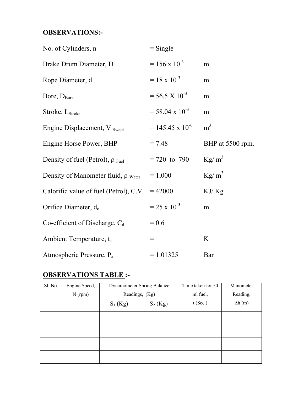#### **OBSERVATIONS:-**

| No. of Cylinders, n                               | $=$ Single                |                  |
|---------------------------------------------------|---------------------------|------------------|
| Brake Drum Diameter, D                            | $= 156 \times 10^{-3}$    | m                |
| Rope Diameter, d                                  | $= 18 \times 10^{-3}$     | m                |
| Bore, D <sub>Bore</sub>                           | $= 56.5 \times 10^{-3}$   | m                |
| Stroke, $L_{\text{Stroke}}$                       | $= 58.04 \times 10^{-3}$  | m                |
| Engine Displacement, V Swept                      | $= 145.45 \times 10^{-6}$ | m <sup>3</sup>   |
| Engine Horse Power, BHP                           | $= 7.48$                  | BHP at 5500 rpm. |
| Density of fuel (Petrol), $\rho_{\text{Fe}}$      | $= 720$ to 790            | $\text{Kg/m}^3$  |
| Density of Manometer fluid, $\rho_{\text{Water}}$ | $= 1,000$                 | $\text{Kg/m}^3$  |
| Calorific value of fuel (Petrol), C.V.            | $= 42000$                 | KJ/Kg            |
| Orifice Diameter, $d_0$                           | $= 25 \times 10^{-3}$     | m                |
| Co-efficient of Discharge, $C_d$                  | $= 0.6$                   |                  |
| Ambient Temperature, t <sub>a</sub>               | $=$                       | K                |
| Atmospheric Pressure, P <sub>a</sub>              | $= 1.01325$               | Bar              |

#### **OBSERVATIONS TABLE :-**

| Sl. No. | Engine Speed, | Dynamometer Spring Balance |                | Time taken for 50 | Manometer     |  |
|---------|---------------|----------------------------|----------------|-------------------|---------------|--|
|         | $N$ (rpm)     |                            | Readings, (Kg) | ml fuel,          | Reading,      |  |
|         |               | $S_2(Kg)$<br>$S_1$ (Kg)    |                | $t$ (Sec.)        | $\Delta h(m)$ |  |
|         |               |                            |                |                   |               |  |
|         |               |                            |                |                   |               |  |
|         |               |                            |                |                   |               |  |
|         |               |                            |                |                   |               |  |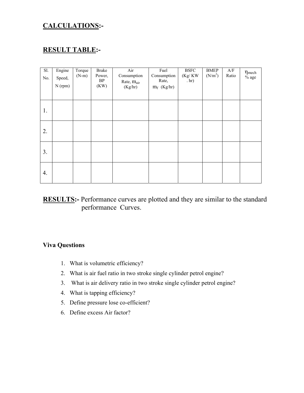#### **CALCULATIONS:-**

#### **RESULT TABLE:-**

| Sl.<br>No. | Engine<br>Speed,<br>$N$ (rpm) | Torque<br>$(N-m)$ | <b>Brake</b><br>Power,<br>BP<br>(KW) | Air<br>Consumption<br>Rate, m <sub>air</sub><br>(Kg/hr) | Fuel<br>Consumption<br>Rate,<br>$m_f$ (Kg/hr) | <b>BSFC</b><br>(Kg/KW<br>. hr) | <b>BMEP</b><br>(N/m <sup>2</sup> ) | $\ensuremath{\mathrm{A}}/\ensuremath{\mathrm{F}}$<br>Ratio | $\eta$ <sub>mech</sub><br>$\%$ age |
|------------|-------------------------------|-------------------|--------------------------------------|---------------------------------------------------------|-----------------------------------------------|--------------------------------|------------------------------------|------------------------------------------------------------|------------------------------------|
| 1.         |                               |                   |                                      |                                                         |                                               |                                |                                    |                                                            |                                    |
| 2.         |                               |                   |                                      |                                                         |                                               |                                |                                    |                                                            |                                    |
| 3.         |                               |                   |                                      |                                                         |                                               |                                |                                    |                                                            |                                    |
| 4.         |                               |                   |                                      |                                                         |                                               |                                |                                    |                                                            |                                    |

#### **RESULTS:-** Performance curves are plotted and they are similar to the standard performance Curves.

- 1. What is volumetric efficiency?
- 2. What is air fuel ratio in two stroke single cylinder petrol engine?
- 3. What is air delivery ratio in two stroke single cylinder petrol engine?
- 4. What is tapping efficiency?
- 5. Define pressure lose co-efficient?
- 6. Define excess Air factor?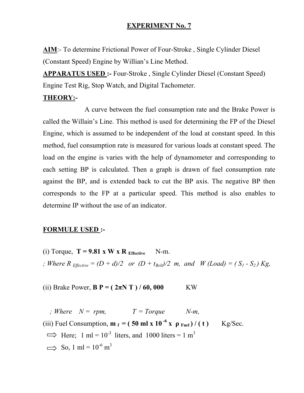**AIM**:- To determine Frictional Power of Four-Stroke , Single Cylinder Diesel (Constant Speed) Engine by Willian's Line Method.

**APPARATUS USED :-** Four-Stroke , Single Cylinder Diesel (Constant Speed) Engine Test Rig, Stop Watch, and Digital Tachometer.

#### **THEORY:-**

A curve between the fuel consumption rate and the Brake Power is called the Willain's Line. This method is used for determining the FP of the Diesel Engine, which is assumed to be independent of the load at constant speed. In this method, fuel consumption rate is measured for various loads at constant speed. The load on the engine is varies with the help of dynamometer and corresponding to each setting BP is calculated. Then a graph is drawn of fuel consumption rate against the BP, and is extended back to cut the BP axis. The negative BP then corresponds to the FP at a particular speed. This method is also enables to determine IP without the use of an indicator.

#### **FORMULE USED :-**

(i) Torque,  $T = 9.81$  x W x R  $_{Effective}$  N-m. *; Where R*  $_{E\text{ffective}} = (D + d)/2$  *or*  $(D + t_{Belt})/2$  *m, and W (Load) =*  $(S_1 - S_2)$  *Kg,* 

(ii) Brake Power,  $B P = (2\pi N T) / 60,000$  KW

*; Where*  $N = rpm$ ,  $T = Torque$   $N-m$ . (iii) Fuel Consumption,  $\mathbf{m}_f = (50 \text{ ml x } 10^{-6} \text{ x } \rho_{\text{Fuel}}) / (t)$  Kg/Sec.  $\implies$  Here; 1 ml = 10<sup>-3</sup> liters, and 1000 liters = 1 m<sup>3</sup>  $\implies$  So, 1 ml = 10<sup>-6</sup> m<sup>3</sup>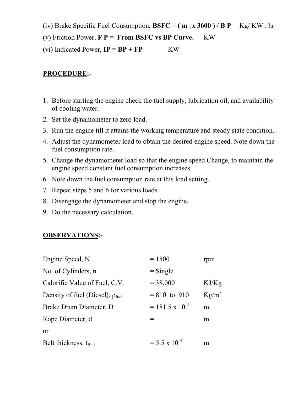(iv) Brake Specific Fuel Consumption,  $B S F C = (m_f x 3600) / B P$  Kg/ KW . hr

(v) Friction Power, **F P = From BSFC vs BP Curve.** KW

(vi) Indicated Power,  $IP = BP + FP$  **KW** 

## **PROCEDURE:-**

- 1. Before starting the engine check the fuel supply, lubrication oil, and availability of cooling water.
- 2. Set the dynamometer to zero load.
- 3. Run the engine till it attains the working temperature and steady state condition.
- 4. Adjust the dynamometer load to obtain the desired engine speed. Note down the fuel consumption rate.
- 5. Change the dynamometer load so that the engine speed Change, to maintain the engine speed constant fuel consumption increases.
- 6. Note down the fuel consumption rate at this load setting.
- 7. Repeat steps 5 and 6 for various loads.
- 8. Disengage the dynamometer and stop the engine.
- 9. Do the necessary calculation.

## **OBSERVATIONS:-**

| Engine Speed, N                                | $= 1500$                 | rpm      |
|------------------------------------------------|--------------------------|----------|
| No. of Cylinders, n                            | $=$ Single               |          |
| Calorific Value of Fuel, C.V.                  | $= 38,000$               | KJ/Kg    |
| Density of fuel (Diesel), $\rho_{\text{fuel}}$ | $= 810$ to 910           | $Kg/m^3$ |
| Brake Drum Diameter, D.                        | $= 181.5 \times 10^{-3}$ | m        |
| Rope Diameter, d                               | $=$                      | m        |
| or                                             |                          |          |
| Belt thickness, t <sub>Belt</sub>              | $= 5.5 \times 10^{-3}$   | m        |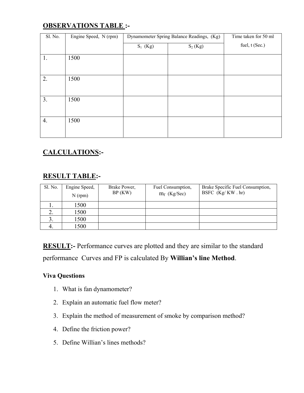## **OBSERVATIONS TABLE :-**

| Sl. No. | Engine Speed, N (rpm) | Dynamometer Spring Balance Readings, (Kg) | Time taken for 50 ml |                |  |
|---------|-----------------------|-------------------------------------------|----------------------|----------------|--|
|         |                       | $S_1$ (Kg)                                | $S_2(Kg)$            | fuel, t (Sec.) |  |
| 1.      | 1500                  |                                           |                      |                |  |
| 2.      | 1500                  |                                           |                      |                |  |
| 3.      | 1500                  |                                           |                      |                |  |
| 4.      | 1500                  |                                           |                      |                |  |

## **CALCULATIONS:-**

#### **RESULT TABLE:-**

| Sl. No. | Engine Speed,<br>$N$ (rpm) | Brake Power,<br>BP(KW) | Fuel Consumption,<br>$m_f$ (Kg/Sec) | Brake Specific Fuel Consumption,<br>BSFC (Kg/KW .hr) |
|---------|----------------------------|------------------------|-------------------------------------|------------------------------------------------------|
|         | 1500                       |                        |                                     |                                                      |
| ∠.      | 1500                       |                        |                                     |                                                      |
|         | 1500                       |                        |                                     |                                                      |
|         | 1500                       |                        |                                     |                                                      |

**RESULT:-** Performance curves are plotted and they are similar to the standard performance Curves and FP is calculated By **Willian's line Method**.

- 1. What is fan dynamometer?
- 2. Explain an automatic fuel flow meter?
- 3. Explain the method of measurement of smoke by comparison method?
- 4. Define the friction power?
- 5. Define Willian's lines methods?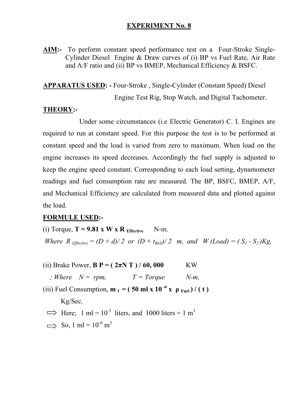**AIM:-** To perform constant speed performance test on a Four-Stroke Single-Cylinder Diesel Engine & Draw curves of (i) BP vs Fuel Rate, Air Rate and A/F ratio and (ii) BP vs BMEP, Mechanical Efficiency & BSFC.

#### **APPARATUS USED: -** Four-Stroke , Single-Cylinder (Constant Speed) Diesel

Engine Test Rig, Stop Watch, and Digital Tachometer.

#### **THEORY:-**

 Under some circumstances (i.e Electric Generator) C. I. Engines are required to run at constant speed. For this purpose the test is to be performed at constant speed and the load is varied from zero to maximum. When load on the engine increases its speed decreases. Accordingly the fuel supply is adjusted to keep the engine speed constant. Corresponding to each load setting, dynamometer readings and fuel consumption rate are measured. The BP, BSFC, BMEP, A/F, and Mechanical Efficiency are calculated from measured data and plotted against the load.

#### **FORMULE USED:-**

(i) Torque,  $T = 9.81$  x W x R  $_{\text{Effective}}$  N-m. *Where R*  $_{Effective} = (D + d)/2$  *or*  $(D + t_{Belt})/2$  *m, and W (Load) =*  $(S_1 - S_2)Kg$ *,* 

(ii) Brake Power,  $B P = (2\pi N T) / 60,000$  KW

*; Where*  $N = rpm$ ,  $T = Torque$   $N-m$ ,

(iii) Fuel Consumption,  $\mathbf{m}_f = (50 \text{ ml x } 10^{-6} \text{ x } \rho_{\text{Fe}})/(\text{ t})$ 

Kg/Sec.

- $\implies$  Here; 1 ml = 10<sup>-3</sup> liters, and 1000 liters = 1 m<sup>3</sup>
- $\implies$  So, 1 ml = 10<sup>-6</sup> m<sup>3</sup>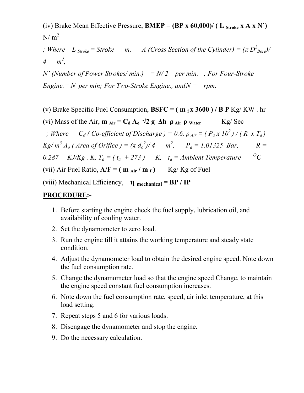(iv) Brake Mean Effective Pressure, **BMEP** =  $(BP \times 60,000)$  (L stroke  $X A X N'$ )  $N/m<sup>2</sup>$ 

*; Where*  $L_{\text{Stroke}} = \text{Stroke}$  *m, A (Cross Section of the Cylinder)* =  $(\pi D_{\text{Bore}}^2)$ / 4  $m^2$ ,

*N' (Number of Power Strokes/ min.) = N/ 2 per min. ; For Four-Stroke Engine.* = N per min; For Two-Stroke Engine., and  $N =$  rpm.

(v) Brake Specific Fuel Consumption,  $B S F C = (m_f x 3600) / B P Kg/KW$ . hr

(vi) Mass of the Air,  $\mathbf{m}_{\text{Air}} = \mathbf{C_d} \mathbf{A_o} \sqrt{2} \mathbf{g} \Delta \mathbf{h} \mathbf{\rho}_{\text{Air}} \mathbf{\rho}_{\text{Water}}$  Kg/ Sec

*; Where*  $C_d$  ( Co-efficient of Discharge ) = 0.6,  $\rho_{Air} = (P_a x 10^2) / (R x T_a)$  $Kg/m^3 A_o$  (Area of Orifice ) =  $(\pi d_o^2)/4$   $m^2$ ,  $P_a = 1.01325$  Bar,  $R =$ 

0.287 KJ/Kg  $\cdot$  K,  $T_a = (t_a + 273)$  K,  $t_a =$  Ambient Temperature <sup>o</sup>C

(vii) Air Fuel Ratio,  $A/F = (m_{Air}/m_f)$  Kg/ Kg of Fuel

(viii) Mechanical Efficiency, **η mechanical = BP / IP**

#### **PROCEDURE:-**

- 1. Before starting the engine check the fuel supply, lubrication oil, and availability of cooling water.
- 2. Set the dynamometer to zero load.
- 3. Run the engine till it attains the working temperature and steady state condition.
- 4. Adjust the dynamometer load to obtain the desired engine speed. Note down the fuel consumption rate.
- 5. Change the dynamometer load so that the engine speed Change, to maintain the engine speed constant fuel consumption increases.
- 6. Note down the fuel consumption rate, speed, air inlet temperature, at this load setting.
- 7. Repeat steps 5 and 6 for various loads.
- 8. Disengage the dynamometer and stop the engine.
- 9. Do the necessary calculation.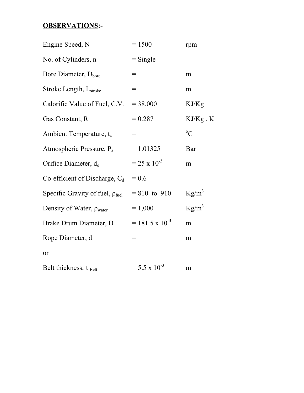## **OBSERVATIONS:-**

| Engine Speed, N                                | $= 1500$                 | rpm           |
|------------------------------------------------|--------------------------|---------------|
| No. of Cylinders, n                            | $=$ Single               |               |
| Bore Diameter, D <sub>bore</sub>               | $=$                      | m             |
| Stroke Length, L <sub>stroke</sub>             | $=$                      | m             |
| Calorific Value of Fuel, C.V.                  | $= 38,000$               | KJ/Kg         |
| Gas Constant, R                                | $= 0.287$                | $KJ/Kg$ . $K$ |
| Ambient Temperature, t <sub>a</sub>            | $=$                      | $\rm ^{o}C$   |
| Atmospheric Pressure, P <sub>a</sub>           | $= 1.01325$              | Bar           |
| Orifice Diameter, d <sub>o</sub>               | $= 25 \times 10^{-3}$    | m             |
| Co-efficient of Discharge, $C_d$               | $= 0.6$                  |               |
| Specific Gravity of fuel, $\rho_{\text{fuel}}$ | $= 810$ to 910           | $Kg/m^3$      |
| Density of Water, $\rho_{\text{water}}$        | $= 1,000$                | $Kg/m^3$      |
| Brake Drum Diameter, D                         | $= 181.5 \times 10^{-3}$ | m             |
| Rope Diameter, d                               | $=$                      | m             |
| or                                             |                          |               |
| Belt thickness, t Belt                         | $= 5.5 \times 10^{-3}$   | m             |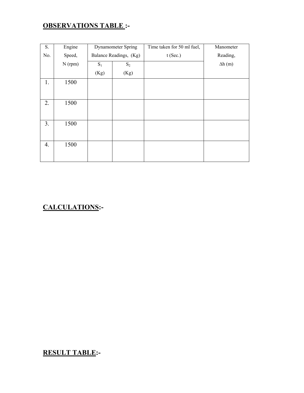## **OBSERVATIONS TABLE :-**

| S.  | Engine    | Dynamometer Spring |                        | Time taken for 50 ml fuel, | Manometer     |
|-----|-----------|--------------------|------------------------|----------------------------|---------------|
| No. | Speed,    |                    | Balance Readings, (Kg) | $t$ (Sec.)                 | Reading,      |
|     | $N$ (rpm) | $S_1$              | $S_2$                  |                            | $\Delta h(m)$ |
|     |           | (Kg)               | (Kg)                   |                            |               |
| 1.  | 1500      |                    |                        |                            |               |
|     |           |                    |                        |                            |               |
| 2.  | 1500      |                    |                        |                            |               |
|     |           |                    |                        |                            |               |
| 3.  | 1500      |                    |                        |                            |               |
|     |           |                    |                        |                            |               |
| 4.  | 1500      |                    |                        |                            |               |
|     |           |                    |                        |                            |               |

## **CALCULATIONS:-**

**RESULT TABLE:-**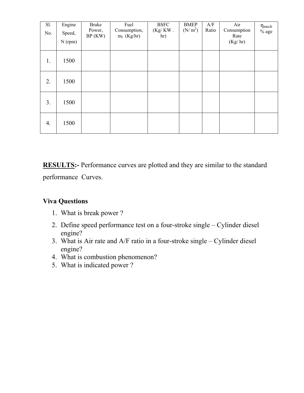| Sl.<br>No. | Engine<br>Speed,<br>$N$ (rpm) | <b>Brake</b><br>Power,<br>BP(KW) | Fuel<br>Consumption,<br>$m_f$ (Kg/hr) | <b>BSFC</b><br>$(Kg/KW)$ .<br>hr) | <b>BMEP</b><br>$(N/m^2)$ | A/F<br>Ratio | Air<br>Consumption<br>Rate<br>(Kg/hr) | $\eta$ <sub>mech</sub><br>$\%$ age |
|------------|-------------------------------|----------------------------------|---------------------------------------|-----------------------------------|--------------------------|--------------|---------------------------------------|------------------------------------|
| 1.         | 1500                          |                                  |                                       |                                   |                          |              |                                       |                                    |
| 2.         | 1500                          |                                  |                                       |                                   |                          |              |                                       |                                    |
| 3.         | 1500                          |                                  |                                       |                                   |                          |              |                                       |                                    |
| 4.         | 1500                          |                                  |                                       |                                   |                          |              |                                       |                                    |

**RESULTS:-** Performance curves are plotted and they are similar to the standard performance Curves.

- 1. What is break power ?
- 2. Define speed performance test on a four-stroke single Cylinder diesel engine?
- 3. What is Air rate and A/F ratio in a four-stroke single Cylinder diesel engine?
- 4. What is combustion phenomenon?
- 5. What is indicated power ?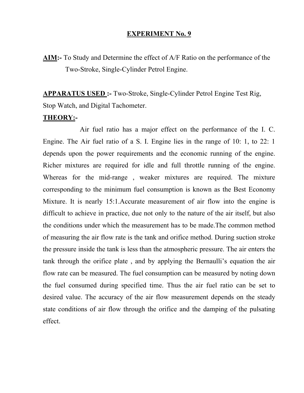**AIM:-** To Study and Determine the effect of A/F Ratio on the performance of the Two-Stroke, Single-Cylinder Petrol Engine.

**APPARATUS USED :-** Two-Stroke, Single-Cylinder Petrol Engine Test Rig, Stop Watch, and Digital Tachometer.

#### **THEORY:-**

 Air fuel ratio has a major effect on the performance of the I. C. Engine. The Air fuel ratio of a S. I. Engine lies in the range of 10: 1, to 22: 1 depends upon the power requirements and the economic running of the engine. Richer mixtures are required for idle and full throttle running of the engine. Whereas for the mid-range , weaker mixtures are required. The mixture corresponding to the minimum fuel consumption is known as the Best Economy Mixture. It is nearly 15:1.Accurate measurement of air flow into the engine is difficult to achieve in practice, due not only to the nature of the air itself, but also the conditions under which the measurement has to be made.The common method of measuring the air flow rate is the tank and orifice method. During suction stroke the pressure inside the tank is less than the atmospheric pressure. The air enters the tank through the orifice plate , and by applying the Bernaulli's equation the air flow rate can be measured. The fuel consumption can be measured by noting down the fuel consumed during specified time. Thus the air fuel ratio can be set to desired value. The accuracy of the air flow measurement depends on the steady state conditions of air flow through the orifice and the damping of the pulsating effect.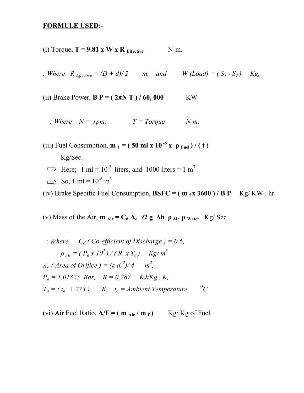#### **FORMULE USED:-**

- (i) Torque,  $T = 9.81$  x W x R  $_{\text{Effective}}$  N-m.
- *; Where*  $R_{\text{Effective}} = (D + d)/2$  m, and  $W (Load) = (S_1 S_2)$  Kg,
- (ii) Brake Power,  $B P = (2\pi N T) / 60,000$  KW
	- *; Where*  $N = rpm$ ,  $T = Torque$   $N-m$ ,

(iii) Fuel Consumption,  $\mathbf{m}_f = (50 \text{ ml x } 10^{-6} \text{ x } \rho_{\text{Full}}) / (t)$  Kg/Sec.  $\implies$  Here; 1 ml = 10<sup>-3</sup> liters, and 1000 liters = 1 m<sup>3</sup>  $\implies$  So, 1 ml = 10<sup>-6</sup> m<sup>3</sup>

(iv) Brake Specific Fuel Consumption,  $B S F C = (m_f x 3600) / B P$  Kg/ KW. hr

(v) Mass of the Air,  $\mathbf{m}_{\text{Air}} = \mathbf{C_d} \mathbf{A_o} \sqrt{2} \mathbf{g} \Delta \mathbf{h} \mathbf{\rho}_{\text{Air}} \mathbf{\rho}_{\text{water}}$  Kg/ Sec

$$
, Where Cd (Co-efficient of Discharge) = 0.6,
$$
  
\n
$$
\rho_{Air} = (P_a x 10^2) / (R x T_a) Kg/m^3
$$
  
\n
$$
A_o (Area of Orijfice) = (\pi d_o^2) / 4 m^2,
$$
  
\n
$$
P_a = 1.01325 Bar, R = 0.287 KJ/Kg.K,
$$
  
\n
$$
T_a = (t_a + 273) K, t_a = Ambient Temperature C
$$

(vi) Air Fuel Ratio,  $A/F = (m_{Air}/m_f)$  Kg/ Kg of Fuel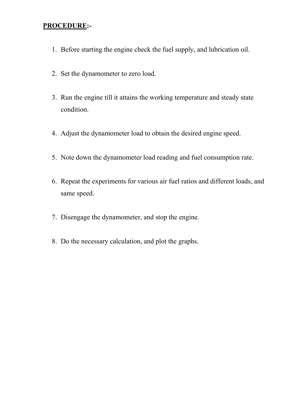#### **PROCEDURE:-**

- 1. Before starting the engine check the fuel supply, and lubrication oil.
- 2. Set the dynamometer to zero load.
- 3. Run the engine till it attains the working temperature and steady state condition.
- 4. Adjust the dynamometer load to obtain the desired engine speed.
- 5. Note down the dynamometer load reading and fuel consumption rate.
- 6. Repeat the experiments for various air fuel ratios and different loads, and same speed.
- 7. Disengage the dynamometer, and stop the engine.
- 8. Do the necessary calculation, and plot the graphs.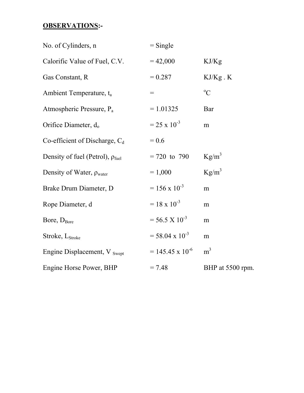## **OBSERVATIONS:-**

| No. of Cylinders, n                            | $=$ Single                   |                  |
|------------------------------------------------|------------------------------|------------------|
| Calorific Value of Fuel, C.V.                  | $= 42,000$                   | KJ/Kg            |
| Gas Constant, R                                | $= 0.287$                    | $KJ/Kg$ . $K$    |
| Ambient Temperature, t <sub>a</sub>            | $\!\!\!=\!\!\!\!$            | $\rm ^{o}C$      |
| Atmospheric Pressure, P <sub>a</sub>           | $= 1.01325$                  | Bar              |
| Orifice Diameter, d <sub>o</sub>               | $= 25 \times 10^{-3}$        | m                |
| Co-efficient of Discharge, $C_d$               | $= 0.6$                      |                  |
| Density of fuel (Petrol), $\rho_{\text{fuel}}$ | $= 720$ to 790               | $Kg/m^3$         |
| Density of Water, $\rho_{\text{water}}$        | $= 1,000$                    | $Kg/m^3$         |
| Brake Drum Diameter, D                         | $= 156 \times 10^{-3}$       | m                |
| Rope Diameter, d                               | $= 18 \times 10^{-3}$        | m                |
| Bore, $D_{Bore}$                               | $= 56.5 \times 10^{-3}$      | m                |
| Stroke, L <sub>Stroke</sub>                    | $=$ 58.04 x 10 <sup>-3</sup> | m                |
| Engine Displacement, V Swept                   | $= 145.45 \times 10^{-6}$    | m <sup>3</sup>   |
| Engine Horse Power, BHP                        | $= 7.48$                     | BHP at 5500 rpm. |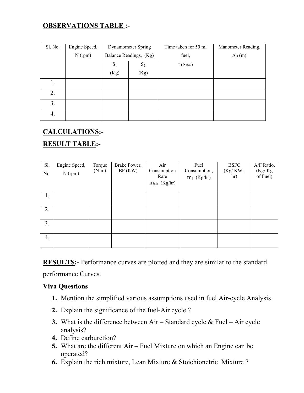#### **OBSERVATIONS TABLE :-**

| Sl. No. | Engine Speed, | Dynamometer Spring |                        | Time taken for 50 ml | Manometer Reading, |            |  |
|---------|---------------|--------------------|------------------------|----------------------|--------------------|------------|--|
|         | $N$ (rpm)     |                    | Balance Readings, (Kg) | fuel,                | $\Delta h(m)$      |            |  |
|         |               | $S_1$<br>$S_2$     |                        |                      |                    | $t$ (Sec.) |  |
|         |               | (Kg)<br>(Kg)       |                        |                      |                    |            |  |
| 1.      |               |                    |                        |                      |                    |            |  |
| 2.      |               |                    |                        |                      |                    |            |  |
| 3.      |               |                    |                        |                      |                    |            |  |
| 4.      |               |                    |                        |                      |                    |            |  |

#### **CALCULATIONS:-**

#### **RESULT TABLE:-**

| S1.<br>No. | Engine Speed,<br>$N$ (rpm) | Torque<br>$(N-m)$ | Brake Power,<br>BP(KW) | Air<br>Consumption<br>Rate<br>$m_{air}$ (Kg/hr) | Fuel<br>Consumption,<br>$m_f$ (Kg/hr) | <b>BSFC</b><br>$(Kg/KW)$ .<br>hr) | A/F Ratio,<br>(Kg/Kg<br>of Fuel) |
|------------|----------------------------|-------------------|------------------------|-------------------------------------------------|---------------------------------------|-----------------------------------|----------------------------------|
| 1.         |                            |                   |                        |                                                 |                                       |                                   |                                  |
| 2.         |                            |                   |                        |                                                 |                                       |                                   |                                  |
| 3.         |                            |                   |                        |                                                 |                                       |                                   |                                  |
| 4.         |                            |                   |                        |                                                 |                                       |                                   |                                  |

**RESULTS:**- Performance curves are plotted and they are similar to the standard performance Curves.

- **1.** Mention the simplified various assumptions used in fuel Air-cycle Analysis
- **2.** Explain the significance of the fuel-Air cycle ?
- **3.** What is the difference between Air Standard cycle & Fuel Air cycle analysis?
- **4.** Define carburetion?
- **5.** What are the different Air Fuel Mixture on which an Engine can be operated?
- **6.** Explain the rich mixture, Lean Mixture & Stoichionetric Mixture ?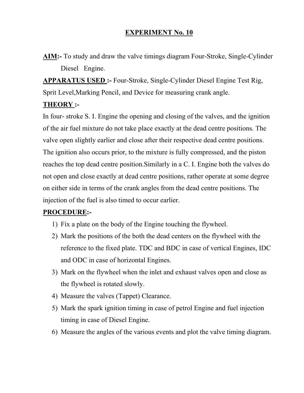**AIM:-** To study and draw the valve timings diagram Four-Stroke, Single-Cylinder Diesel Engine.

**APPARATUS USED :-** Four-Stroke, Single-Cylinder Diesel Engine Test Rig, Sprit Level,Marking Pencil, and Device for measuring crank angle.

#### **THEORY :-**

In four- stroke S. I. Engine the opening and closing of the valves, and the ignition of the air fuel mixture do not take place exactly at the dead centre positions. The valve open slightly earlier and close after their respective dead centre positions. The ignition also occurs prior, to the mixture is fully compressed, and the piston reaches the top dead centre position.Similarly in a C. I. Engine both the valves do not open and close exactly at dead centre positions, rather operate at some degree on either side in terms of the crank angles from the dead centre positions. The injection of the fuel is also timed to occur earlier.

## **PROCEDURE:-**

- 1) Fix a plate on the body of the Engine touching the flywheel.
- 2) Mark the positions of the both the dead centers on the flywheel with the reference to the fixed plate. TDC and BDC in case of vertical Engines, IDC and ODC in case of horizontal Engines.
- 3) Mark on the flywheel when the inlet and exhaust valves open and close as the flywheel is rotated slowly.
- 4) Measure the valves (Tappet) Clearance.
- 5) Mark the spark ignition timing in case of petrol Engine and fuel injection timing in case of Diesel Engine.
- 6) Measure the angles of the various events and plot the valve timing diagram.